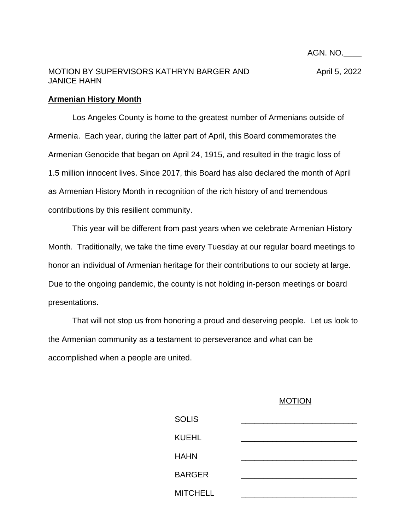AGN. NO.\_\_\_\_

## MOTION BY SUPERVISORS KATHRYN BARGER AND April 5, 2022 JANICE HAHN

## **Armenian History Month**

Los Angeles County is home to the greatest number of Armenians outside of Armenia. Each year, during the latter part of April, this Board commemorates the Armenian Genocide that began on April 24, 1915, and resulted in the tragic loss of 1.5 million innocent lives. Since 2017, this Board has also declared the month of April as Armenian History Month in recognition of the rich history of and tremendous contributions by this resilient community.

This year will be different from past years when we celebrate Armenian History Month. Traditionally, we take the time every Tuesday at our regular board meetings to honor an individual of Armenian heritage for their contributions to our society at large. Due to the ongoing pandemic, the county is not holding in-person meetings or board presentations.

That will not stop us from honoring a proud and deserving people. Let us look to the Armenian community as a testament to perseverance and what can be accomplished when a people are united.

## MOTION

| <b>SOLIS</b>    |  |  |
|-----------------|--|--|
| <b>KUEHL</b>    |  |  |
| <b>HAHN</b>     |  |  |
| <b>BARGER</b>   |  |  |
| <b>MITCHELL</b> |  |  |